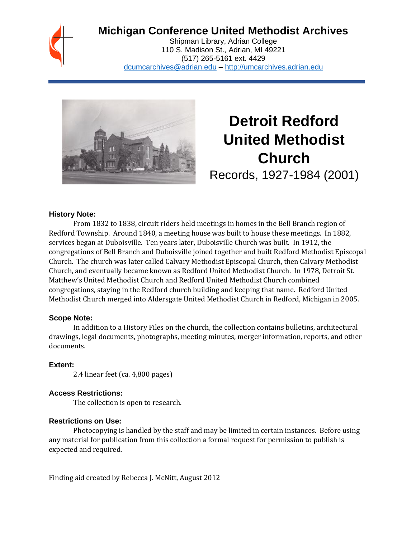## **Michigan Conference United Methodist Archives**

Shipman Library, Adrian College 110 S. Madison St., Adrian, MI 49221 (517) 265-5161 ext. 4429 [dcumcarchives@adrian.edu](mailto:dcumcarchives@adrian.edu) – [http://umcarchives.adrian.edu](http://umcarchives.adrian.edu/)



# **Detroit Redford United Methodist Church**

Records, 1927-1984 (2001)

#### **History Note:**

From 1832 to 1838, circuit riders held meetings in homes in the Bell Branch region of Redford Township. Around 1840, a meeting house was built to house these meetings. In 1882, services began at Duboisville. Ten years later, Duboisville Church was built. In 1912, the congregations of Bell Branch and Duboisville joined together and built Redford Methodist Episcopal Church. The church was later called Calvary Methodist Episcopal Church, then Calvary Methodist Church, and eventually became known as Redford United Methodist Church. In 1978, Detroit St. Matthew's United Methodist Church and Redford United Methodist Church combined congregations, staying in the Redford church building and keeping that name. Redford United Methodist Church merged into Aldersgate United Methodist Church in Redford, Michigan in 2005.

#### **Scope Note:**

In addition to a History Files on the church, the collection contains bulletins, architectural drawings, legal documents, photographs, meeting minutes, merger information, reports, and other documents.

#### **Extent:**

2.4 linear feet (ca. 4,800 pages)

#### **Access Restrictions:**

The collection is open to research.

#### **Restrictions on Use:**

Photocopying is handled by the staff and may be limited in certain instances. Before using any material for publication from this collection a formal request for permission to publish is expected and required.

Finding aid created by Rebecca J. McNitt, August 2012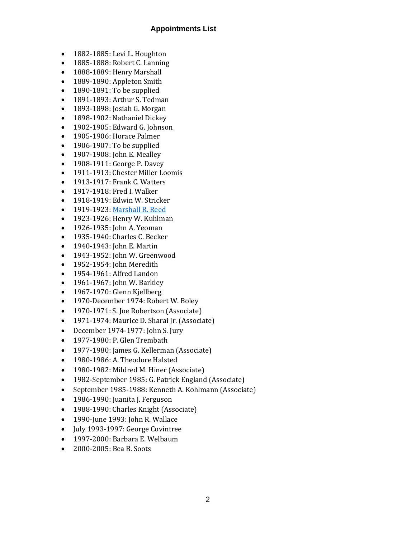#### **Appointments List**

- 1882-1885: Levi L. Houghton
- 1885-1888: Robert C. Lanning
- 1888-1889: Henry Marshall
- 1889-1890: Appleton Smith
- 1890-1891: To be supplied
- 1891-1893: Arthur S. Tedman
- 1893-1898: Josiah G. Morgan
- 1898-1902: Nathaniel Dickey
- 1902-1905: Edward G. Johnson
- 1905-1906: Horace Palmer
- 1906-1907: To be supplied
- 1907-1908: John E. Mealley
- 1908-1911: George P. Davey
- 1911-1913: Chester Miller Loomis
- 1913-1917: Frank C. Watters
- 1917-1918: Fred I. Walker
- 1918-1919: Edwin W. Stricker
- 1919-1923[: Marshall R. Reed](http://umcarchives.adrian.edu/clergy/reedmr.php)
- 1923-1926: Henry W. Kuhlman
- 1926-1935: John A. Yeoman
- 1935-1940: Charles C. Becker
- 1940-1943: John E. Martin
- 1943-1952: John W. Greenwood
- 1952-1954: John Meredith
- 1954-1961: Alfred Landon
- 1961-1967: John W. Barkley
- 1967-1970: Glenn Kjellberg
- 1970-December 1974: Robert W. Boley
- 1970-1971: S. Joe Robertson (Associate)
- 1971-1974: Maurice D. Sharai Jr. (Associate)
- December 1974-1977: John S. Jury
- 1977-1980: P. Glen Trembath
- 1977-1980: James G. Kellerman (Associate)
- 1980-1986: A. Theodore Halsted
- 1980-1982: Mildred M. Hiner (Associate)
- 1982-September 1985: G. Patrick England (Associate)
- September 1985-1988: Kenneth A. Kohlmann (Associate)
- 1986-1990: Juanita J. Ferguson
- 1988-1990: Charles Knight (Associate)
- 1990-June 1993: John R. Wallace
- July 1993-1997: George Covintree
- 1997-2000: Barbara E. Welbaum
- 2000-2005: Bea B. Soots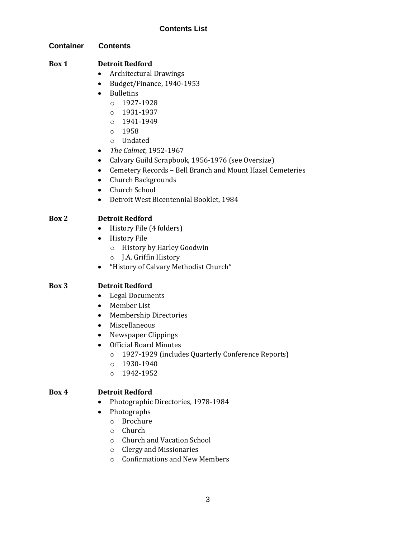#### **Contents List**

#### **Container Contents**

#### **Box 1 Detroit Redford**

- Architectural Drawings
- Budget/Finance, 1940-1953
- Bulletins
	- o 1927-1928
	- o 1931-1937
	- o 1941-1949
	- o 1958
	- o Undated
- *The Calmet*, 1952-1967
- Calvary Guild Scrapbook, 1956-1976 (see Oversize)
- Cemetery Records Bell Branch and Mount Hazel Cemeteries
- Church Backgrounds
- Church School
- Detroit West Bicentennial Booklet, 1984

#### **Box 2 Detroit Redford**

- History File (4 folders)
- History File
	- o History by Harley Goodwin
	- o J.A. Griffin History
- "History of Calvary Methodist Church"

#### **Box 3 Detroit Redford**

- Legal Documents
- Member List
- Membership Directories
- Miscellaneous
- Newspaper Clippings
- Official Board Minutes
	- o 1927-1929 (includes Quarterly Conference Reports)
	- o 1930-1940
	- o 1942-1952

#### **Box 4 Detroit Redford**

- Photographic Directories, 1978-1984
- Photographs
	- o Brochure
	- o Church
	- o Church and Vacation School
	- o Clergy and Missionaries
	- o Confirmations and New Members